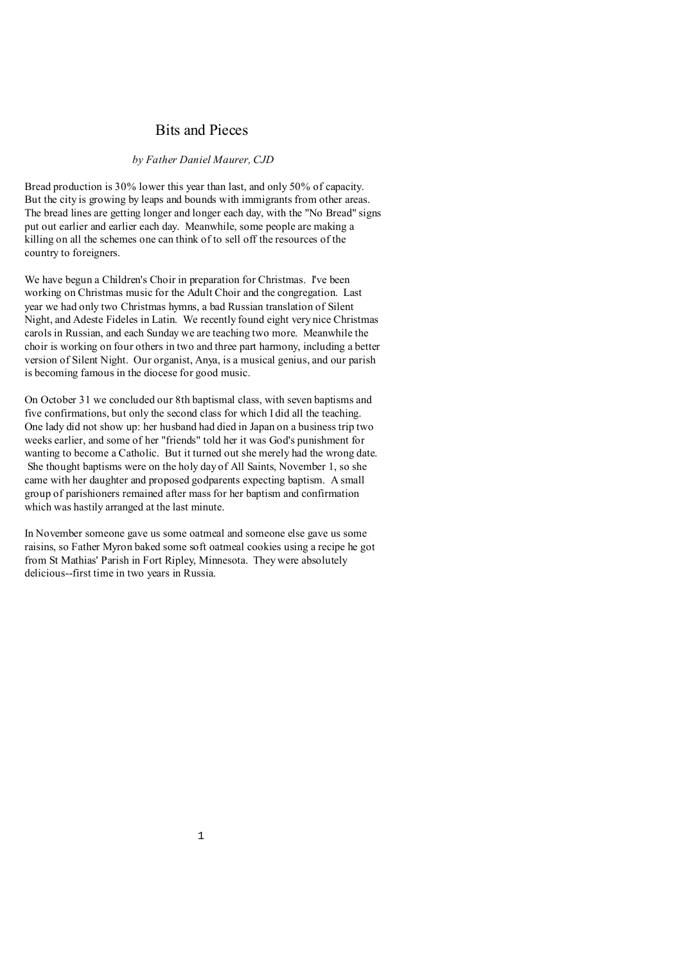### Bits and Pieces

#### *by Father Daniel Maurer, CJD*

Bread production is 30% lower this year than last, and only 50% of capacity. But the city is growing by leaps and bounds with immigrants from other areas. The bread lines are getting longer and longer each day, with the "No Bread" signs put out earlier and earlier each day. Meanwhile, some people are making a killing on all the schemes one can think of to sell off the resources of the country to foreigners.

We have begun a Children's Choir in preparation for Christmas. I've been working on Christmas music for the Adult Choir and the congregation. Last year we had only two Christmas hymns, a bad Russian translation of Silent Night, and Adeste Fideles in Latin. We recently found eight very nice Christmas carols in Russian, and each Sunday we are teaching two more. Meanwhile the choir is working on four others in two and three part harmony, including a better version of Silent Night. Our organist, Anya, is a musical genius, and our parish is becoming famous in the diocese for good music.

On October 31 we concluded our 8th baptismal class, with seven baptisms and five confirmations, but only the second class for which I did all the teaching. One lady did not show up: her husband had died in Japan on a business trip two weeks earlier, and some of her "friends" told her it was God's punishment for wanting to become a Catholic. But it turned out she merely had the wrong date. She thought baptisms were on the holy day of All Saints, November 1, so she came with her daughter and proposed godparents expecting baptism. A small group of parishioners remained after mass for her baptism and confirmation which was hastily arranged at the last minute.

In November someone gave us some oatmeal and someone else gave us some raisins, so Father Myron baked some soft oatmeal cookies using a recipe he got from St Mathias' Parish in Fort Ripley, Minnesota. They were absolutely delicious--first time in two years in Russia.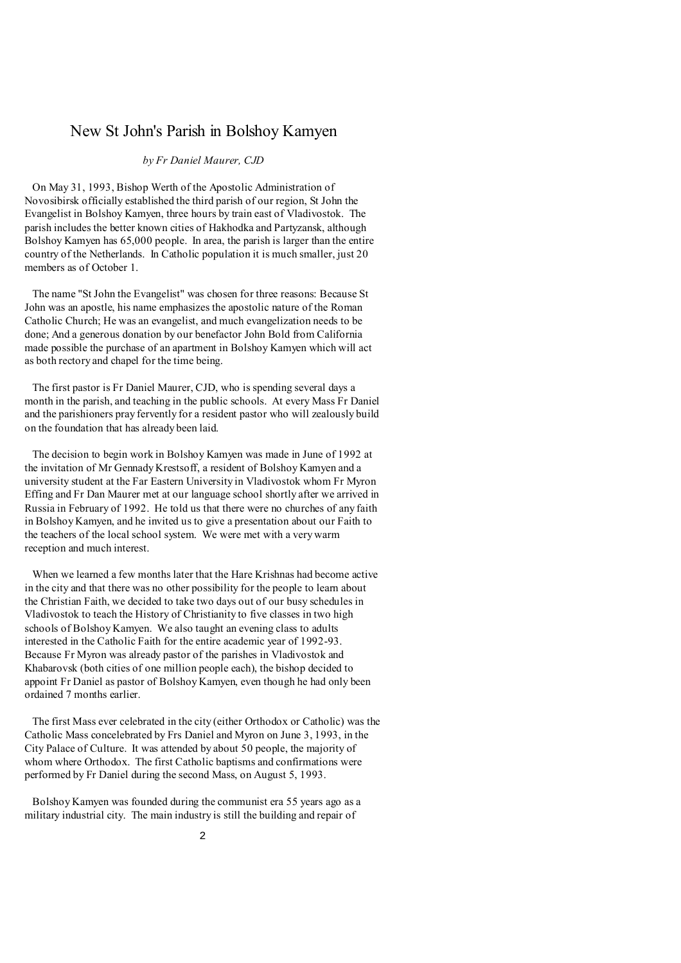# New St John's Parish in Bolshoy Kamyen

#### *by Fr Daniel Maurer, CJD*

 On May 31, 1993, Bishop Werth of the Apostolic Administration of Novosibirsk officially established the third parish of our region, St John the Evangelist in Bolshoy Kamyen, three hours by train east of Vladivostok. The parish includes the better known cities of Hakhodka and Partyzansk, although Bolshoy Kamyen has 65,000 people. In area, the parish is larger than the entire country of the Netherlands. In Catholic population it is much smaller, just 20 members as of October 1.

 The name "St John the Evangelist" was chosen for three reasons: Because St John was an apostle, his name emphasizes the apostolic nature of the Roman Catholic Church; He was an evangelist, and much evangelization needs to be done; And a generous donation by our benefactor John Bold from California made possible the purchase of an apartment in Bolshoy Kamyen which will act as both rectory and chapel for the time being.

 The first pastor is Fr Daniel Maurer, CJD, who is spending several days a month in the parish, and teaching in the public schools. At every Mass Fr Daniel and the parishioners pray fervently for a resident pastor who will zealously build on the foundation that has already been laid.

 The decision to begin work in Bolshoy Kamyen was made in June of 1992 at the invitation of Mr Gennady Krestsoff, a resident of Bolshoy Kamyen and a university student at the Far Eastern University in Vladivostok whom Fr Myron Effing and Fr Dan Maurer met at our language school shortly after we arrived in Russia in February of 1992. He told us that there were no churches of any faith in Bolshoy Kamyen, and he invited us to give a presentation about our Faith to the teachers of the local school system. We were met with a very warm reception and much interest.

 When we learned a few months later that the Hare Krishnas had become active in the city and that there was no other possibility for the people to learn about the Christian Faith, we decided to take two days out of our busy schedules in Vladivostok to teach the History of Christianity to five classes in two high schools of Bolshoy Kamyen. We also taught an evening class to adults interested in the Catholic Faith for the entire academic year of 1992-93. Because Fr Myron was already pastor of the parishes in Vladivostok and Khabarovsk (both cities of one million people each), the bishop decided to appoint Fr Daniel as pastor of Bolshoy Kamyen, even though he had only been ordained 7 months earlier.

 The first Mass ever celebrated in the city (either Orthodox or Catholic) was the Catholic Mass concelebrated by Frs Daniel and Myron on June 3, 1993, in the City Palace of Culture. It was attended by about 50 people, the majority of whom where Orthodox. The first Catholic baptisms and confirmations were performed by Fr Daniel during the second Mass, on August 5, 1993.

 Bolshoy Kamyen was founded during the communist era 55 years ago as a military industrial city. The main industry is still the building and repair of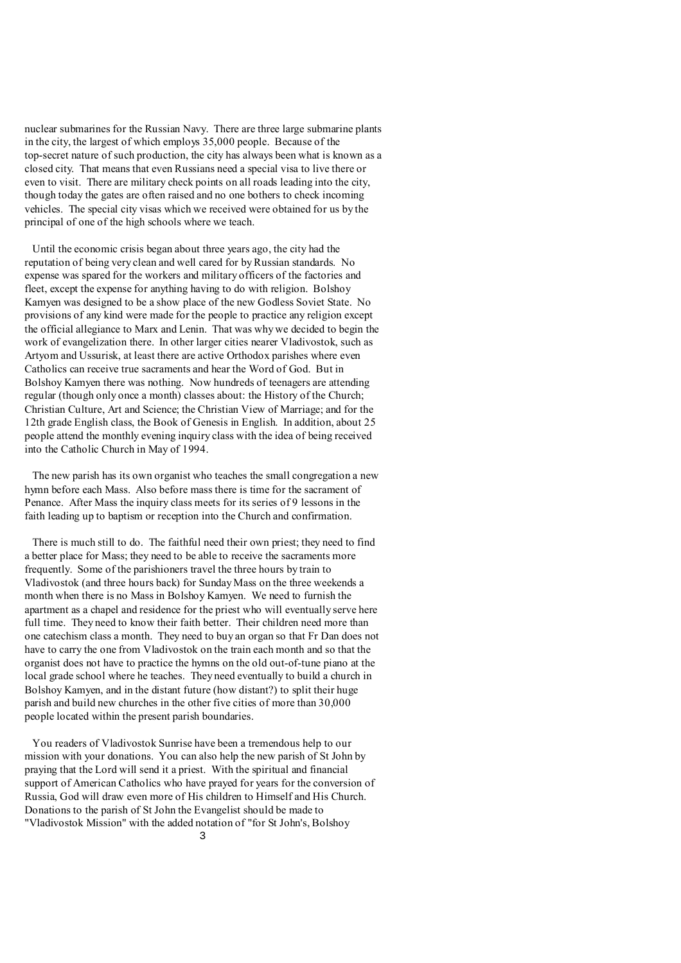nuclear submarines for the Russian Navy. There are three large submarine plants in the city, the largest of which employs 35,000 people. Because of the top-secret nature of such production, the city has always been what is known as a closed city. That means that even Russians need a special visa to live there or even to visit. There are military check points on all roads leading into the city, though today the gates are often raised and no one bothers to check incoming vehicles. The special city visas which we received were obtained for us by the principal of one of the high schools where we teach.

 Until the economic crisis began about three years ago, the city had the reputation of being very clean and well cared for by Russian standards. No expense was spared for the workers and military officers of the factories and fleet, except the expense for anything having to do with religion. Bolshoy Kamyen was designed to be a show place of the new Godless Soviet State. No provisions of any kind were made for the people to practice any religion except the official allegiance to Marx and Lenin. That was why we decided to begin the work of evangelization there. In other larger cities nearer Vladivostok, such as Artyom and Ussurisk, at least there are active Orthodox parishes where even Catholics can receive true sacraments and hear the Word of God. But in Bolshoy Kamyen there was nothing. Now hundreds of teenagers are attending regular (though only once a month) classes about: the History of the Church; Christian Culture, Art and Science; the Christian View of Marriage; and for the 12th grade English class, the Book of Genesis in English. In addition, about 25 people attend the monthly evening inquiry class with the idea of being received into the Catholic Church in May of 1994.

 The new parish has its own organist who teaches the small congregation a new hymn before each Mass. Also before mass there is time for the sacrament of Penance. After Mass the inquiry class meets for its series of 9 lessons in the faith leading up to baptism or reception into the Church and confirmation.

 There is much still to do. The faithful need their own priest; they need to find a better place for Mass; they need to be able to receive the sacraments more frequently. Some of the parishioners travel the three hours by train to Vladivostok (and three hours back) for Sunday Mass on the three weekends a month when there is no Mass in Bolshoy Kamyen. We need to furnish the apartment as a chapel and residence for the priest who will eventually serve here full time. They need to know their faith better. Their children need more than one catechism class a month. They need to buy an organ so that Fr Dan does not have to carry the one from Vladivostok on the train each month and so that the organist does not have to practice the hymns on the old out-of-tune piano at the local grade school where he teaches. They need eventually to build a church in Bolshoy Kamyen, and in the distant future (how distant?) to split their huge parish and build new churches in the other five cities of more than 30,000 people located within the present parish boundaries.

 You readers of Vladivostok Sunrise have been a tremendous help to our mission with your donations. You can also help the new parish of St John by praying that the Lord will send it a priest. With the spiritual and financial support of American Catholics who have prayed for years for the conversion of Russia, God will draw even more of His children to Himself and His Church. Donations to the parish of St John the Evangelist should be made to "Vladivostok Mission" with the added notation of "for St John's, Bolshoy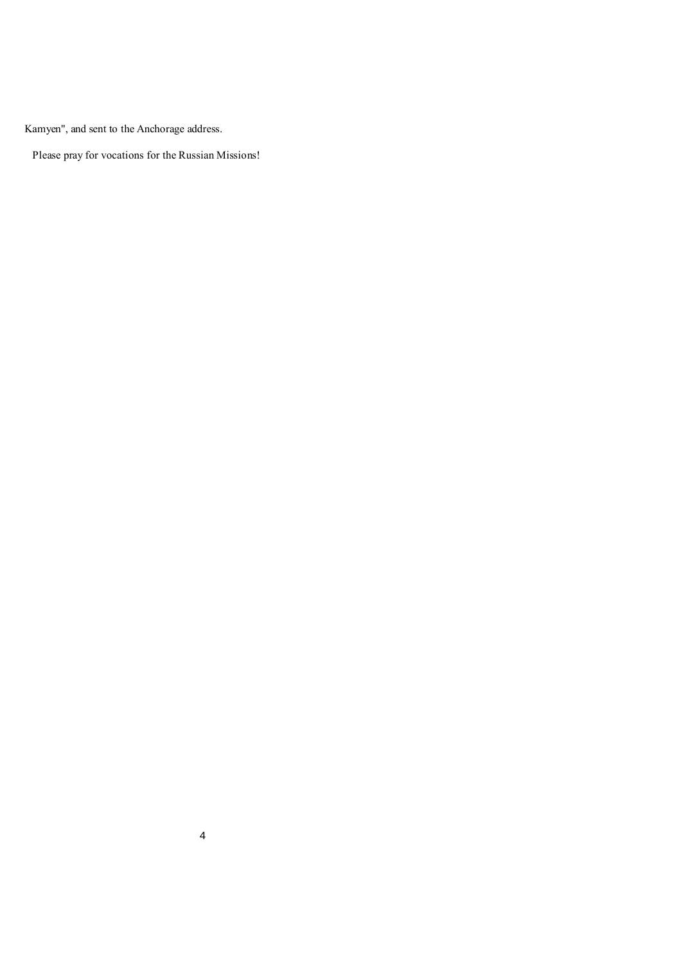Kamyen", and sent to the Anchorage address.

Please pray for vocations for the Russian Missions!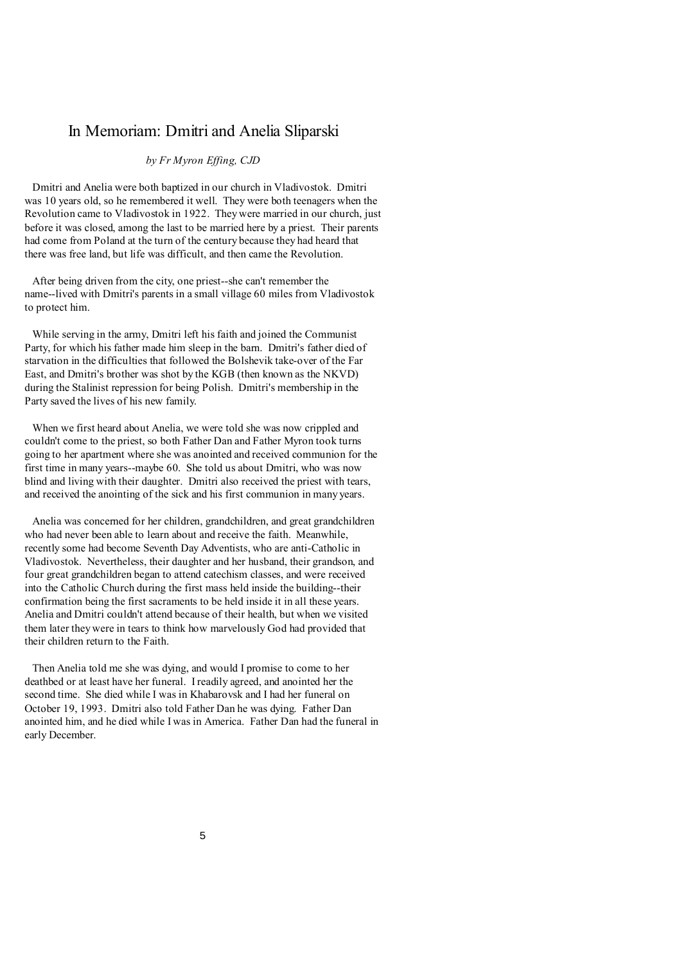### In Memoriam: Dmitri and Anelia Sliparski

### *by Fr Myron Effing, CJD*

 Dmitri and Anelia were both baptized in our church in Vladivostok. Dmitri was 10 years old, so he remembered it well. They were both teenagers when the Revolution came to Vladivostok in 1922. They were married in our church, just before it was closed, among the last to be married here by a priest. Their parents had come from Poland at the turn of the century because they had heard that there was free land, but life was difficult, and then came the Revolution.

 After being driven from the city, one priest--she can't remember the name--lived with Dmitri's parents in a small village 60 miles from Vladivostok to protect him.

 While serving in the army, Dmitri left his faith and joined the Communist Party, for which his father made him sleep in the barn. Dmitri's father died of starvation in the difficulties that followed the Bolshevik take-over of the Far East, and Dmitri's brother was shot by the KGB (then known as the NKVD) during the Stalinist repression for being Polish. Dmitri's membership in the Party saved the lives of his new family.

 When we first heard about Anelia, we were told she was now crippled and couldn't come to the priest, so both Father Dan and Father Myron took turns going to her apartment where she was anointed and received communion for the first time in many years--maybe 60. She told us about Dmitri, who was now blind and living with their daughter. Dmitri also received the priest with tears, and received the anointing of the sick and his first communion in many years.

 Anelia was concerned for her children, grandchildren, and great grandchildren who had never been able to learn about and receive the faith. Meanwhile, recently some had become Seventh Day Adventists, who are anti-Catholic in Vladivostok. Nevertheless, their daughter and her husband, their grandson, and four great grandchildren began to attend catechism classes, and were received into the Catholic Church during the first mass held inside the building--their confirmation being the first sacraments to be held inside it in all these years. Anelia and Dmitri couldn't attend because of their health, but when we visited them later they were in tears to think how marvelously God had provided that their children return to the Faith.

 Then Anelia told me she was dying, and would I promise to come to her deathbed or at least have her funeral. I readily agreed, and anointed her the second time. She died while I was in Khabarovsk and I had her funeral on October 19, 1993. Dmitri also told Father Dan he was dying. Father Dan anointed him, and he died while I was in America. Father Dan had the funeral in early December.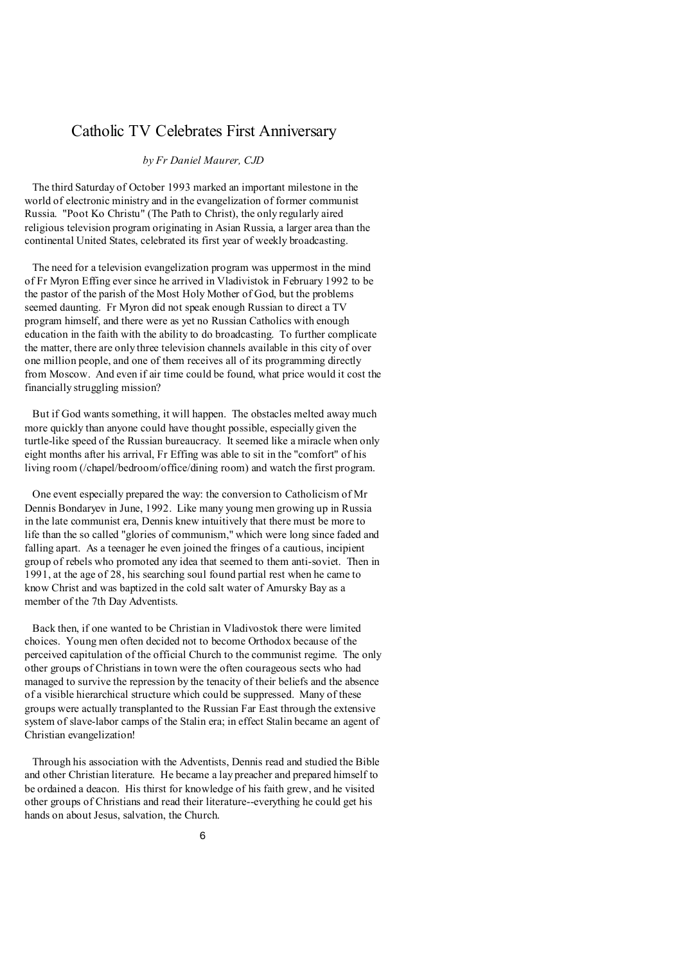# Catholic TV Celebrates First Anniversary

#### *by Fr Daniel Maurer, CJD*

 The third Saturday of October 1993 marked an important milestone in the world of electronic ministry and in the evangelization of former communist Russia. "Poot Ko Christu" (The Path to Christ), the only regularly aired religious television program originating in Asian Russia, a larger area than the continental United States, celebrated its first year of weekly broadcasting.

 The need for a television evangelization program was uppermost in the mind of Fr Myron Effing ever since he arrived in Vladivistok in February 1992 to be the pastor of the parish of the Most Holy Mother of God, but the problems seemed daunting. Fr Myron did not speak enough Russian to direct a TV program himself, and there were as yet no Russian Catholics with enough education in the faith with the ability to do broadcasting. To further complicate the matter, there are only three television channels available in this city of over one million people, and one of them receives all of its programming directly from Moscow. And even if air time could be found, what price would it cost the financially struggling mission?

 But if God wants something, it will happen. The obstacles melted away much more quickly than anyone could have thought possible, especially given the turtle-like speed of the Russian bureaucracy. It seemed like a miracle when only eight months after his arrival, Fr Effing was able to sit in the "comfort" of his living room (/chapel/bedroom/office/dining room) and watch the first program.

 One event especially prepared the way: the conversion to Catholicism of Mr Dennis Bondaryev in June, 1992. Like many young men growing up in Russia in the late communist era, Dennis knew intuitively that there must be more to life than the so called "glories of communism," which were long since faded and falling apart. As a teenager he even joined the fringes of a cautious, incipient group of rebels who promoted any idea that seemed to them anti-soviet. Then in 1991, at the age of 28, his searching soul found partial rest when he came to know Christ and was baptized in the cold salt water of Amursky Bay as a member of the 7th Day Adventists.

 Back then, if one wanted to be Christian in Vladivostok there were limited choices. Young men often decided not to become Orthodox because of the perceived capitulation of the official Church to the communist regime. The only other groups of Christians in town were the often courageous sects who had managed to survive the repression by the tenacity of their beliefs and the absence of a visible hierarchical structure which could be suppressed. Many of these groups were actually transplanted to the Russian Far East through the extensive system of slave-labor camps of the Stalin era; in effect Stalin became an agent of Christian evangelization!

 Through his association with the Adventists, Dennis read and studied the Bible and other Christian literature. He became a lay preacher and prepared himself to be ordained a deacon. His thirst for knowledge of his faith grew, and he visited other groups of Christians and read their literature--everything he could get his hands on about Jesus, salvation, the Church.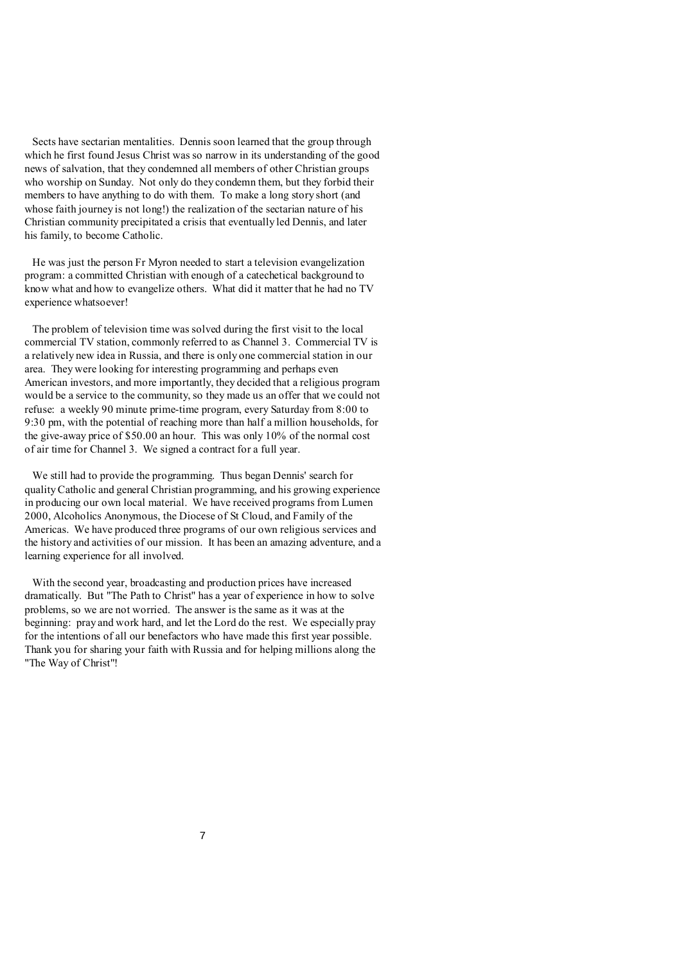Sects have sectarian mentalities. Dennis soon learned that the group through which he first found Jesus Christ was so narrow in its understanding of the good news of salvation, that they condemned all members of other Christian groups who worship on Sunday. Not only do they condemn them, but they forbid their members to have anything to do with them. To make a long story short (and whose faith journey is not long!) the realization of the sectarian nature of his Christian community precipitated a crisis that eventually led Dennis, and later his family, to become Catholic.

 He was just the person Fr Myron needed to start a television evangelization program: a committed Christian with enough of a catechetical background to know what and how to evangelize others. What did it matter that he had no TV experience whatsoever!

 The problem of television time was solved during the first visit to the local commercial TV station, commonly referred to as Channel 3. Commercial TV is a relatively new idea in Russia, and there is only one commercial station in our area. They were looking for interesting programming and perhaps even American investors, and more importantly, they decided that a religious program would be a service to the community, so they made us an offer that we could not refuse: a weekly 90 minute prime-time program, every Saturday from 8:00 to 9:30 pm, with the potential of reaching more than half a million households, for the give-away price of \$50.00 an hour. This was only 10% of the normal cost of air time for Channel 3. We signed a contract for a full year.

 We still had to provide the programming. Thus began Dennis' search for qualityCatholic and general Christian programming, and his growing experience in producing our own local material. We have received programs from Lumen 2000, Alcoholics Anonymous, the Diocese of St Cloud, and Family of the Americas. We have produced three programs of our own religious services and the history and activities of our mission. It has been an amazing adventure, and a learning experience for all involved.

 With the second year, broadcasting and production prices have increased dramatically. But "The Path to Christ" has a year of experience in how to solve problems, so we are not worried. The answer is the same as it was at the beginning: pray and work hard, and let the Lord do the rest. We especially pray for the intentions of all our benefactors who have made this first year possible. Thank you for sharing your faith with Russia and for helping millions along the "The Way of Christ"!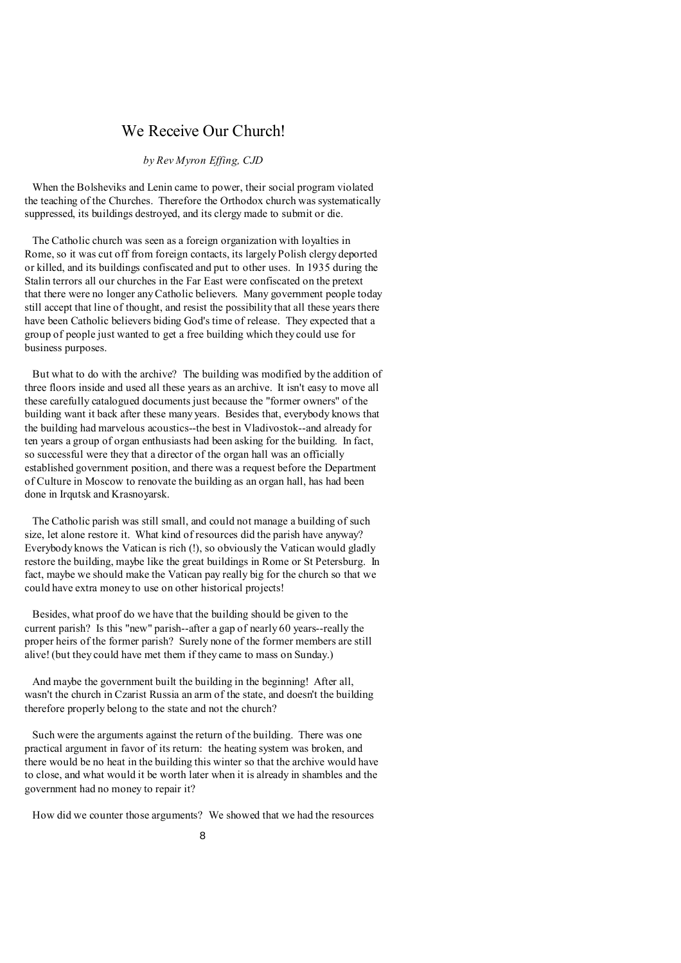# We Receive Our Church!

### *by Rev Myron Effing, CJD*

 When the Bolsheviks and Lenin came to power, their social program violated the teaching of the Churches. Therefore the Orthodox church was systematically suppressed, its buildings destroyed, and its clergy made to submit or die.

 The Catholic church was seen as a foreign organization with loyalties in Rome, so it was cut off from foreign contacts, its largely Polish clergy deported or killed, and its buildings confiscated and put to other uses. In 1935 during the Stalin terrors all our churches in the Far East were confiscated on the pretext that there were no longer anyCatholic believers. Many government people today still accept that line of thought, and resist the possibility that all these years there have been Catholic believers biding God's time of release. They expected that a group of people just wanted to get a free building which they could use for business purposes.

 But what to do with the archive? The building was modified by the addition of three floors inside and used all these years as an archive. It isn't easy to move all these carefully catalogued documents just because the "former owners" of the building want it back after these many years. Besides that, everybody knows that the building had marvelous acoustics--the best in Vladivostok--and already for ten years a group of organ enthusiasts had been asking for the building. In fact, so successful were they that a director of the organ hall was an officially established government position, and there was a request before the Department of Culture in Moscow to renovate the building as an organ hall, has had been done in Irqutsk and Krasnoyarsk.

 The Catholic parish was still small, and could not manage a building of such size, let alone restore it. What kind of resources did the parish have anyway? Everybody knows the Vatican is rich (!), so obviously the Vatican would gladly restore the building, maybe like the great buildings in Rome or St Petersburg. In fact, maybe we should make the Vatican pay really big for the church so that we could have extra money to use on other historical projects!

 Besides, what proof do we have that the building should be given to the current parish? Is this "new" parish--after a gap of nearly 60 years--really the proper heirs of the former parish? Surely none of the former members are still alive! (but they could have met them if they came to mass on Sunday.)

 And maybe the government built the building in the beginning! After all, wasn't the church in Czarist Russia an arm of the state, and doesn't the building therefore properly belong to the state and not the church?

 Such were the arguments against the return of the building. There was one practical argument in favor of its return: the heating system was broken, and there would be no heat in the building this winter so that the archive would have to close, and what would it be worth later when it is already in shambles and the government had no money to repair it?

How did we counter those arguments? We showed that we had the resources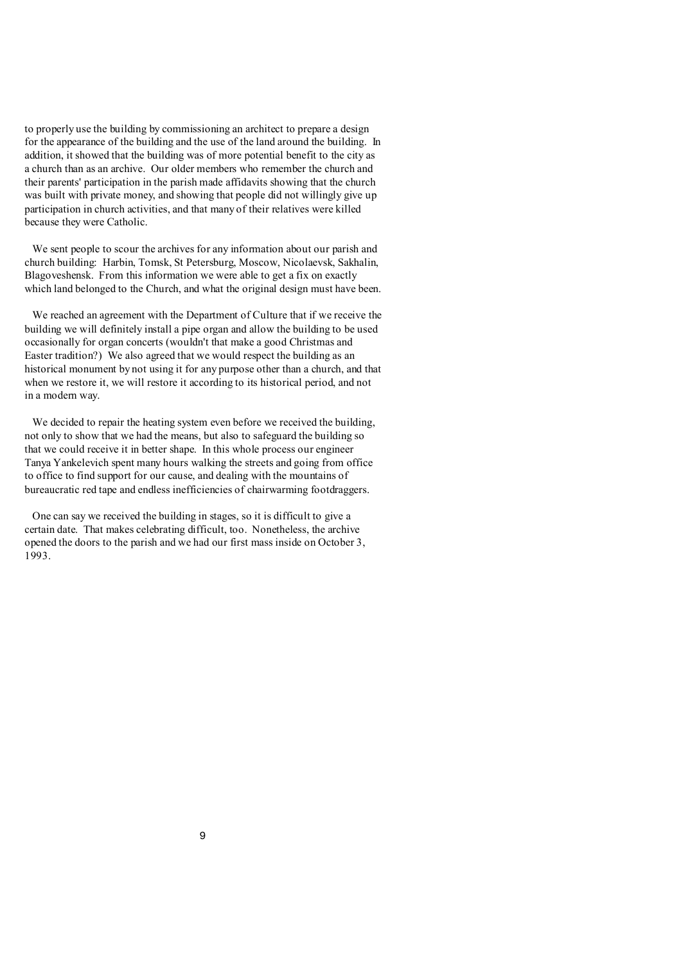to properly use the building by commissioning an architect to prepare a design for the appearance of the building and the use of the land around the building. In addition, it showed that the building was of more potential benefit to the city as a church than as an archive. Our older members who remember the church and their parents' participation in the parish made affidavits showing that the church was built with private money, and showing that people did not willingly give up participation in church activities, and that many of their relatives were killed because they were Catholic.

 We sent people to scour the archives for any information about our parish and church building: Harbin, Tomsk, St Petersburg, Moscow, Nicolaevsk, Sakhalin, Blagoveshensk. From this information we were able to get a fix on exactly which land belonged to the Church, and what the original design must have been.

 We reached an agreement with the Department of Culture that if we receive the building we will definitely install a pipe organ and allow the building to be used occasionally for organ concerts (wouldn't that make a good Christmas and Easter tradition?) We also agreed that we would respect the building as an historical monument by not using it for any purpose other than a church, and that when we restore it, we will restore it according to its historical period, and not in a modern way.

 We decided to repair the heating system even before we received the building, not only to show that we had the means, but also to safeguard the building so that we could receive it in better shape. In this whole process our engineer Tanya Yankelevich spent many hours walking the streets and going from office to office to find support for our cause, and dealing with the mountains of bureaucratic red tape and endless inefficiencies of chairwarming footdraggers.

 One can say we received the building in stages, so it is difficult to give a certain date. That makes celebrating difficult, too. Nonetheless, the archive opened the doors to the parish and we had our first mass inside on October 3, 1993.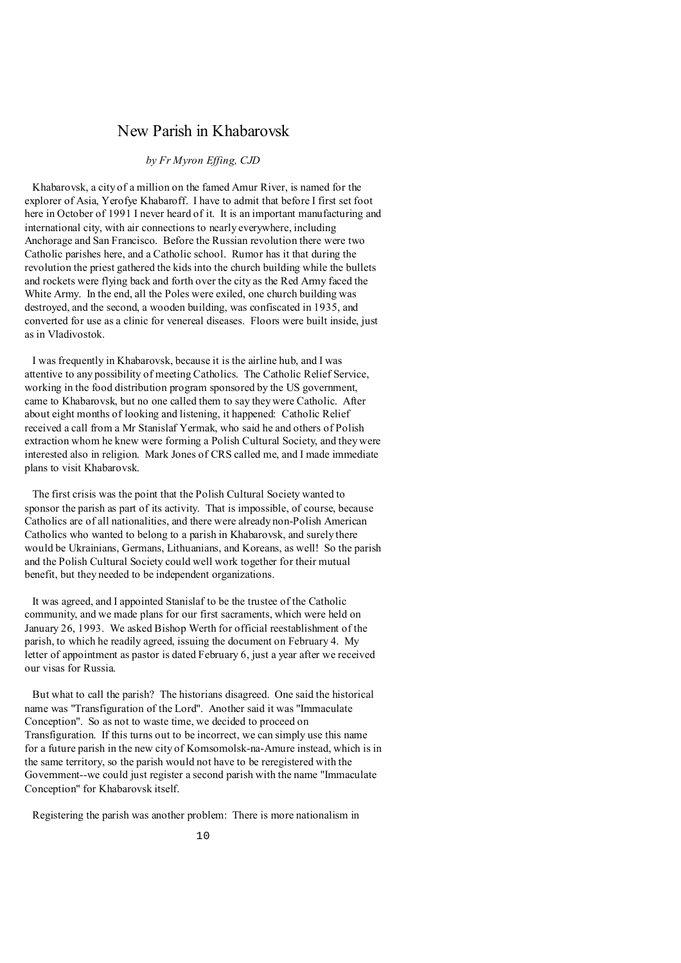### New Parish in Khabarovsk

### *by Fr Myron Effing, CJD*

 Khabarovsk, a city of a million on the famed Amur River, is named for the explorer of Asia, Yerofye Khabaroff. I have to admit that before I first set foot here in October of 1991 I never heard of it. It is an important manufacturing and international city, with air connections to nearly everywhere, including Anchorage and San Francisco. Before the Russian revolution there were two Catholic parishes here, and a Catholic school. Rumor has it that during the revolution the priest gathered the kids into the church building while the bullets and rockets were flying back and forth over the city as the Red Army faced the White Army. In the end, all the Poles were exiled, one church building was destroyed, and the second, a wooden building, was confiscated in 1935, and converted for use as a clinic for venereal diseases. Floors were built inside, just as in Vladivostok.

 I was frequently in Khabarovsk, because it is the airline hub, and I was attentive to any possibility of meeting Catholics. The Catholic Relief Service, working in the food distribution program sponsored by the US government, came to Khabarovsk, but no one called them to say they were Catholic. After about eight months of looking and listening, it happened: Catholic Relief received a call from a Mr Stanislaf Yermak, who said he and others of Polish extraction whom he knew were forming a Polish Cultural Society, and they were interested also in religion. Mark Jones of CRS called me, and I made immediate plans to visit Khabarovsk.

 The first crisis was the point that the Polish Cultural Society wanted to sponsor the parish as part of its activity. That is impossible, of course, because Catholics are of all nationalities, and there were already non-Polish American Catholics who wanted to belong to a parish in Khabarovsk, and surely there would be Ukrainians, Germans, Lithuanians, and Koreans, as well! So the parish and the Polish Cultural Society could well work together for their mutual benefit, but they needed to be independent organizations.

 It was agreed, and I appointed Stanislaf to be the trustee of the Catholic community, and we made plans for our first sacraments, which were held on January 26, 1993. We asked Bishop Werth for official reestablishment of the parish, to which he readily agreed, issuing the document on February 4. My letter of appointment as pastor is dated February 6, just a year after we received our visas for Russia.

 But what to call the parish? The historians disagreed. One said the historical name was "Transfiguration of the Lord". Another said it was "Immaculate Conception". So as not to waste time, we decided to proceed on Transfiguration. If this turns out to be incorrect, we can simply use this name for a future parish in the new city of Komsomolsk-na-Amure instead, which is in the same territory, so the parish would not have to be reregistered with the Government--we could just register a second parish with the name "Immaculate Conception" for Khabarovsk itself.

Registering the parish was another problem: There is more nationalism in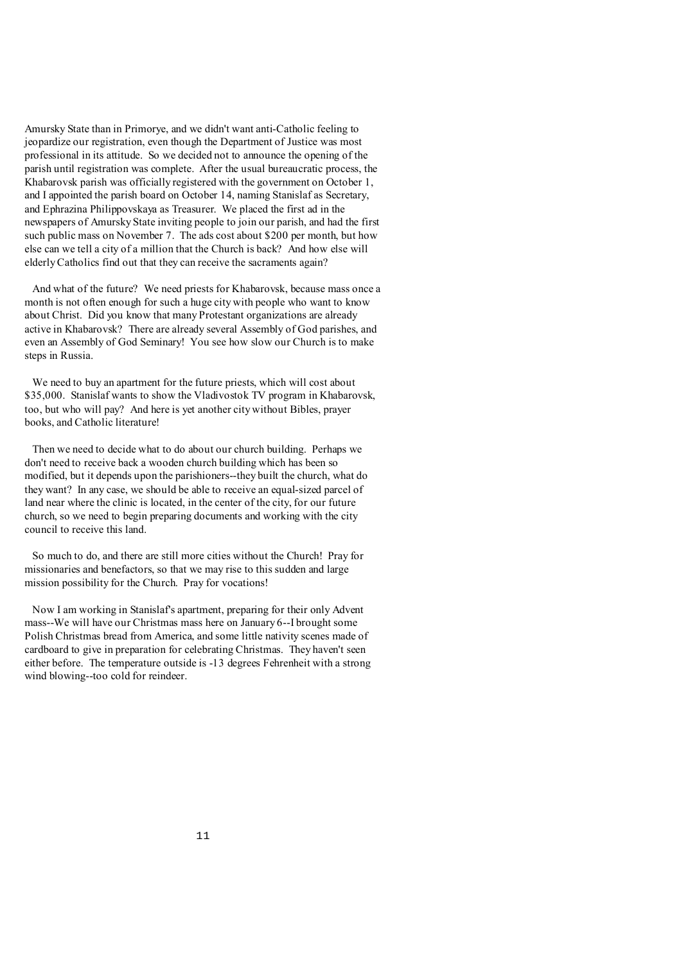Amursky State than in Primorye, and we didn't want anti-Catholic feeling to jeopardize our registration, even though the Department of Justice was most professional in its attitude. So we decided not to announce the opening of the parish until registration was complete. After the usual bureaucratic process, the Khabarovsk parish was officially registered with the government on October 1, and I appointed the parish board on October 14, naming Stanislaf as Secretary, and Ephrazina Philippovskaya as Treasurer. We placed the first ad in the newspapers of Amursky State inviting people to join our parish, and had the first such public mass on November 7. The ads cost about \$200 per month, but how else can we tell a city of a million that the Church is back? And how else will elderlyCatholics find out that they can receive the sacraments again?

 And what of the future? We need priests for Khabarovsk, because mass once a month is not often enough for such a huge city with people who want to know about Christ. Did you know that many Protestant organizations are already active in Khabarovsk? There are already several Assembly of God parishes, and even an Assembly of God Seminary! You see how slow our Church is to make steps in Russia.

 We need to buy an apartment for the future priests, which will cost about \$35,000. Stanislaf wants to show the Vladivostok TV program in Khabarovsk, too, but who will pay? And here is yet another city without Bibles, prayer books, and Catholic literature!

 Then we need to decide what to do about our church building. Perhaps we don't need to receive back a wooden church building which has been so modified, but it depends upon the parishioners--they built the church, what do they want? In any case, we should be able to receive an equal-sized parcel of land near where the clinic is located, in the center of the city, for our future church, so we need to begin preparing documents and working with the city council to receive this land.

 So much to do, and there are still more cities without the Church! Pray for missionaries and benefactors, so that we may rise to this sudden and large mission possibility for the Church. Pray for vocations!

 Now I am working in Stanislaf's apartment, preparing for their only Advent mass--We will have our Christmas mass here on January 6--I brought some Polish Christmas bread from America, and some little nativity scenes made of cardboard to give in preparation for celebrating Christmas. They haven't seen either before. The temperature outside is -13 degrees Fehrenheit with a strong wind blowing--too cold for reindeer.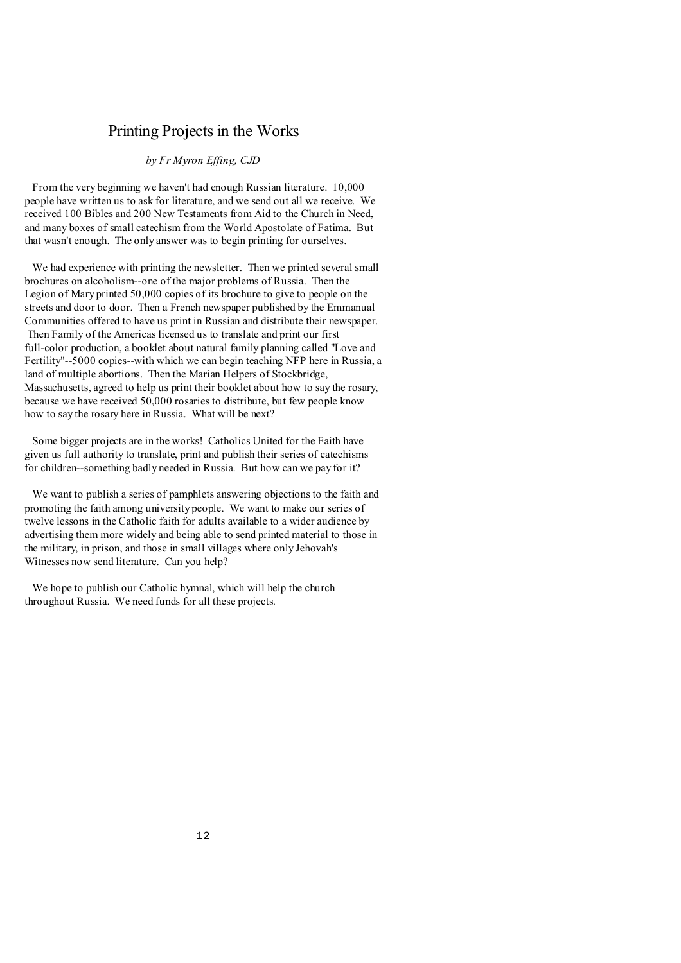# Printing Projects in the Works

### *by Fr Myron Effing, CJD*

 From the very beginning we haven't had enough Russian literature. 10,000 people have written us to ask for literature, and we send out all we receive. We received 100 Bibles and 200 New Testaments from Aid to the Church in Need, and many boxes of small catechism from the World Apostolate of Fatima. But that wasn't enough. The only answer was to begin printing for ourselves.

 We had experience with printing the newsletter. Then we printed several small brochures on alcoholism--one of the major problems of Russia. Then the Legion of Mary printed 50,000 copies of its brochure to give to people on the streets and door to door. Then a French newspaper published by the Emmanual Communities offered to have us print in Russian and distribute their newspaper. Then Family of the Americas licensed us to translate and print our first full-color production, a booklet about natural family planning called "Love and Fertility"--5000 copies--with which we can begin teaching NFP here in Russia, a land of multiple abortions. Then the Marian Helpers of Stockbridge, Massachusetts, agreed to help us print their booklet about how to say the rosary, because we have received 50,000 rosaries to distribute, but few people know how to say the rosary here in Russia. What will be next?

 Some bigger projects are in the works! Catholics United for the Faith have given us full authority to translate, print and publish their series of catechisms for children--something badly needed in Russia. But how can we pay for it?

 We want to publish a series of pamphlets answering objections to the faith and promoting the faith among university people. We want to make our series of twelve lessons in the Catholic faith for adults available to a wider audience by advertising them more widely and being able to send printed material to those in the military, in prison, and those in small villages where only Jehovah's Witnesses now send literature. Can you help?

We hope to publish our Catholic hymnal, which will help the church throughout Russia. We need funds for all these projects.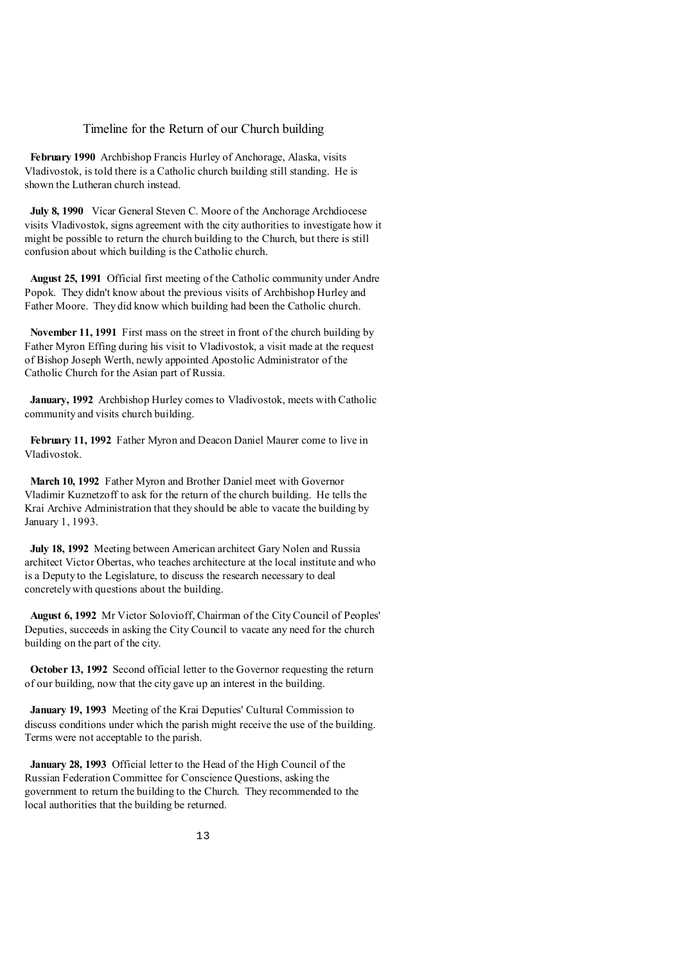#### Timeline for the Return of our Church building

 **February 1990** Archbishop Francis Hurley of Anchorage, Alaska, visits Vladivostok, is told there is a Catholic church building still standing. He is shown the Lutheran church instead.

 **July 8, 1990** Vicar General Steven C. Moore of the Anchorage Archdiocese visits Vladivostok, signs agreement with the city authorities to investigate how it might be possible to return the church building to the Church, but there is still confusion about which building is the Catholic church.

 **August 25, 1991** Official first meeting of the Catholic community under Andre Popok. They didn't know about the previous visits of Archbishop Hurley and Father Moore. They did know which building had been the Catholic church.

 **November 11, 1991** First mass on the street in front of the church building by Father Myron Effing during his visit to Vladivostok, a visit made at the request of Bishop Joseph Werth, newly appointed Apostolic Administrator of the Catholic Church for the Asian part of Russia.

 **January, 1992** Archbishop Hurley comes to Vladivostok, meets with Catholic community and visits church building.

 **February 11, 1992** Father Myron and Deacon Daniel Maurer come to live in Vladivostok.

 **March 10, 1992** Father Myron and Brother Daniel meet with Governor Vladimir Kuznetzoff to ask for the return of the church building. He tells the Krai Archive Administration that they should be able to vacate the building by January 1, 1993.

 **July 18, 1992** Meeting between American architect Gary Nolen and Russia architect Victor Obertas, who teaches architecture at the local institute and who is a Deputy to the Legislature, to discuss the research necessary to deal concretely with questions about the building.

 **August 6, 1992** Mr Victor Solovioff, Chairman of the City Council of Peoples' Deputies, succeeds in asking the City Council to vacate any need for the church building on the part of the city.

 **October 13, 1992** Second official letter to the Governor requesting the return of our building, now that the city gave up an interest in the building.

 **January 19, 1993** Meeting of the Krai Deputies' Cultural Commission to discuss conditions under which the parish might receive the use of the building. Terms were not acceptable to the parish.

 **January 28, 1993** Official letter to the Head of the High Council of the Russian Federation Committee for Conscience Questions, asking the government to return the building to the Church. They recommended to the local authorities that the building be returned.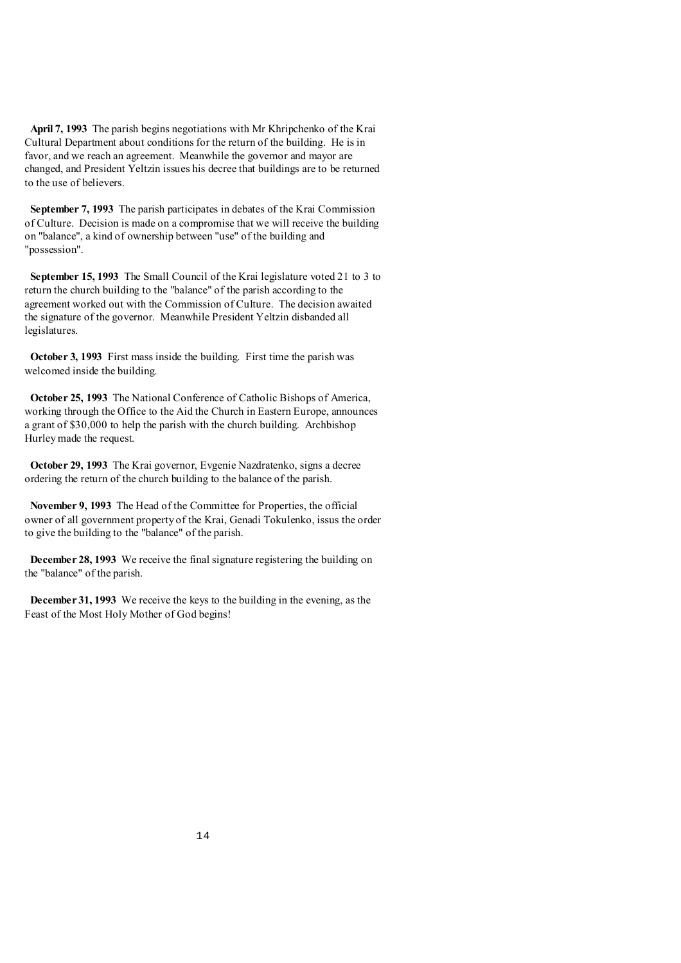**April 7, 1993** The parish begins negotiations with Mr Khripchenko of the Krai Cultural Department about conditions for the return of the building. He is in favor, and we reach an agreement. Meanwhile the governor and mayor are changed, and President Yeltzin issues his decree that buildings are to be returned to the use of believers.

 **September 7, 1993** The parish participates in debates of the Krai Commission of Culture. Decision is made on a compromise that we will receive the building on "balance", a kind of ownership between "use" of the building and "possession".

 **September 15, 1993** The Small Council of the Krai legislature voted 21 to 3 to return the church building to the "balance" of the parish according to the agreement worked out with the Commission of Culture. The decision awaited the signature of the governor. Meanwhile President Yeltzin disbanded all legislatures.

 **October 3, 1993** First mass inside the building. First time the parish was welcomed inside the building.

 **October 25, 1993** The National Conference of Catholic Bishops of America, working through the Office to the Aid the Church in Eastern Europe, announces a grant of \$30,000 to help the parish with the church building. Archbishop Hurleymade the request.

 **October 29, 1993** The Krai governor, Evgenie Nazdratenko, signs a decree ordering the return of the church building to the balance of the parish.

 **November 9, 1993** The Head of the Committee for Properties, the official owner of all government property of the Krai, Genadi Tokulenko, issus the order to give the building to the "balance" of the parish.

 **December 28, 1993** We receive the final signature registering the building on the "balance" of the parish.

 **December 31, 1993** We receive the keys to the building in the evening, as the Feast of the Most Holy Mother of God begins!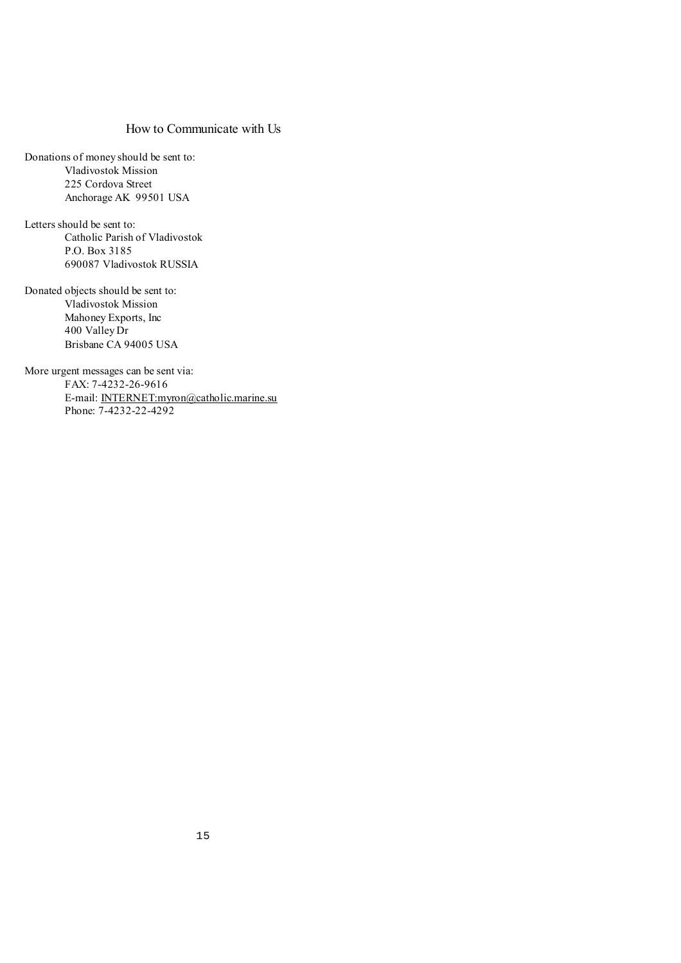### How to Communicate with Us

Donations of money should be sent to: Vladivostok Mission 225 Cordova Street Anchorage AK 99501 USA

Letters should be sent to: Catholic Parish of Vladivostok P.O. Box 3185 690087 Vladivostok RUSSIA

Donated objects should be sent to: Vladivostok Mission Mahoney Exports, Inc 400 Valley Dr Brisbane CA 94005 USA

More urgent messages can be sent via: FAX: 7-4232-26-9616 E-mail: [INTERNET:myron@catholic.marine.su](mailto:INTERNET:myron@catholic.marine.su) Phone: 7-4232-22-4292